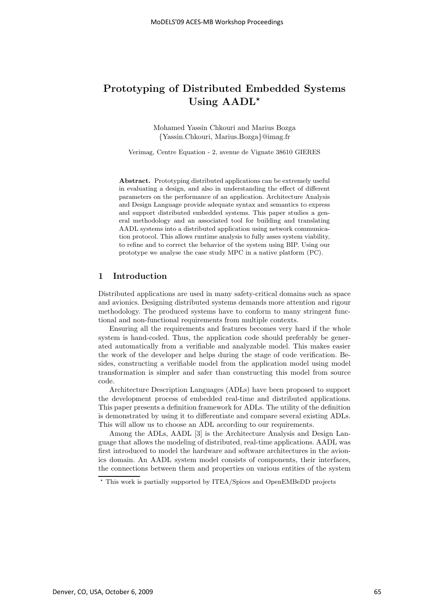# Prototyping of Distributed Embedded Systems Using  $AADL^*$

Mohamed Yassin Chkouri and Marius Bozga {Yassin.Chkouri, Marius.Bozga}@imag.fr

Verimag, Centre Equation - 2, avenue de Vignate 38610 GIERES

Abstract. Prototyping distributed applications can be extremely useful in evaluating a design, and also in understanding the effect of different parameters on the performance of an application. Architecture Analysis and Design Language provide adequate syntax and semantics to express and support distributed embedded systems. This paper studies a general methodology and an associated tool for building and translating AADL systems into a distributed application using network communication protocol. This allows runtime analysis to fully asses system viability, to refine and to correct the behavior of the system using BIP. Using our prototype we analyse the case study MPC in a native platform (PC).

# 1 Introduction

Distributed applications are used in many safety-critical domains such as space and avionics. Designing distributed systems demands more attention and rigour methodology. The produced systems have to conform to many stringent functional and non-functional requirements from multiple contexts.

Ensuring all the requirements and features becomes very hard if the whole system is hand-coded. Thus, the application code should preferably be generated automatically from a verifiable and analyzable model. This makes easier the work of the developer and helps during the stage of code verification. Besides, constructing a verifiable model from the application model using model transformation is simpler and safer than constructing this model from source code.

Architecture Description Languages (ADLs) have been proposed to support the development process of embedded real-time and distributed applications. This paper presents a definition framework for ADLs. The utility of the definition is demonstrated by using it to differentiate and compare several existing ADLs. This will allow us to choose an ADL according to our requirements.

Among the ADLs, AADL [3] is the Architecture Analysis and Design Language that allows the modeling of distributed, real-time applications. AADL was first introduced to model the hardware and software architectures in the avionics domain. An AADL system model consists of components, their interfaces, the connections between them and properties on various entities of the system

<sup>⋆</sup> This work is partially supported by ITEA/Spices and OpenEMBeDD projects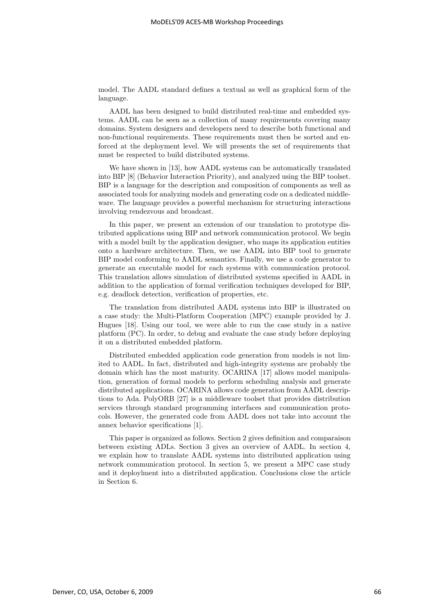model. The AADL standard defines a textual as well as graphical form of the language.

AADL has been designed to build distributed real-time and embedded systems. AADL can be seen as a collection of many requirements covering many domains. System designers and developers need to describe both functional and non-functional requirements. These requirements must then be sorted and enforced at the deployment level. We will presents the set of requirements that must be respected to build distributed systems.

We have shown in [13], how AADL systems can be automatically translated into BIP [8] (Behavior Interaction Priority), and analyzed using the BIP toolset. BIP is a language for the description and composition of components as well as associated tools for analyzing models and generating code on a dedicated middleware. The language provides a powerful mechanism for structuring interactions involving rendezvous and broadcast.

In this paper, we present an extension of our translation to prototype distributed applications using BIP and network communication protocol. We begin with a model built by the application designer, who maps its application entities onto a hardware architecture. Then, we use AADL into BIP tool to generate BIP model conforming to AADL semantics. Finally, we use a code generator to generate an executable model for each systems with communication protocol. This translation allows simulation of distributed systems specified in AADL in addition to the application of formal verification techniques developed for BIP, e.g. deadlock detection, verification of properties, etc.

The translation from distributed AADL systems into BIP is illustrated on a case study: the Multi-Platform Cooperation (MPC) example provided by J. Hugues [18]. Using our tool, we were able to run the case study in a native platform (PC). In order, to debug and evaluate the case study before deploying it on a distributed embedded platform.

Distributed embedded application code generation from models is not limited to AADL. In fact, distributed and high-integrity systems are probably the domain which has the most maturity. OCARINA [17] allows model manipulation, generation of formal models to perform scheduling analysis and generate distributed applications. OCARINA allows code generation from AADL descriptions to Ada. PolyORB [27] is a middleware toolset that provides distribution services through standard programming interfaces and communication protocols. However, the generated code from AADL does not take into account the annex behavior specifications [1].

This paper is organized as follows. Section 2 gives definition and comparaison between existing ADLs. Section 3 gives an overview of AADL. In section 4, we explain how to translate AADL systems into distributed application using network communication protocol. In section 5, we present a MPC case study and it deploylment into a distributed application. Conclusions close the article in Section 6.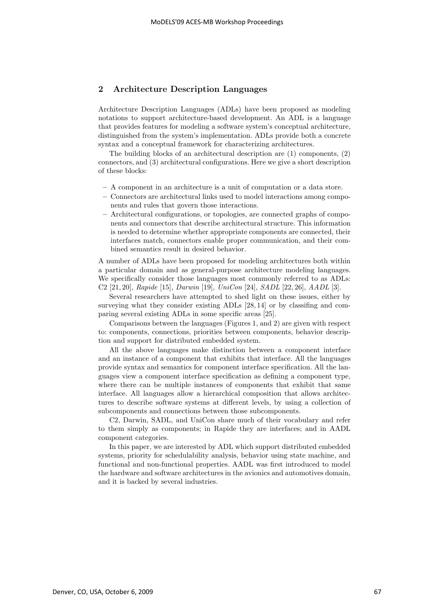# 2 Architecture Description Languages

Architecture Description Languages (ADLs) have been proposed as modeling notations to support architecture-based development. An ADL is a language that provides features for modeling a software system's conceptual architecture, distinguished from the system's implementation. ADLs provide both a concrete syntax and a conceptual framework for characterizing architectures.

The building blocks of an architectural description are (1) components, (2) connectors, and (3) architectural configurations. Here we give a short description of these blocks:

- A component in an architecture is a unit of computation or a data store.
- Connectors are architectural links used to model interactions among components and rules that govern those interactions.
- Architectural configurations, or topologies, are connected graphs of components and connectors that describe architectural structure. This information is needed to determine whether appropriate components are connected, their interfaces match, connectors enable proper communication, and their combined semantics result in desired behavior.

A number of ADLs have been proposed for modeling architectures both within a particular domain and as general-purpose architecture modeling languages. We specifically consider those languages most commonly referred to as ADLs: C2 [21, 20], Rapide [15], Darwin [19], UniCon [24], SADL [22, 26], AADL [3].

Several researchers have attempted to shed light on these issues, either by surveying what they consider existing ADLs [28, 14] or by classifing and comparing several existing ADLs in some specific areas [25].

Comparisons between the languages (Figures 1, and 2) are given with respect to: components, connections, priorities between components, behavior description and support for distributed embedded system.

All the above languages make distinction between a component interface and an instance of a component that exhibits that interface. All the languages provide syntax and semantics for component interface specification. All the languages view a component interface specification as defining a component type, where there can be multiple instances of components that exhibit that same interface. All languages allow a hierarchical composition that allows architectures to describe software systems at different levels, by using a collection of subcomponents and connections between those subcomponents.

C2, Darwin, SADL, and UniCon share much of their vocabulary and refer to them simply as components; in Rapide they are interfaces; and in AADL component categories.

In this paper, we are interested by ADL which support distributed embedded systems, priority for schedulability analysis, behavior using state machine, and functional and non-functional properties. AADL was first introduced to model the hardware and software architectures in the avionics and automotives domain, and it is backed by several industries.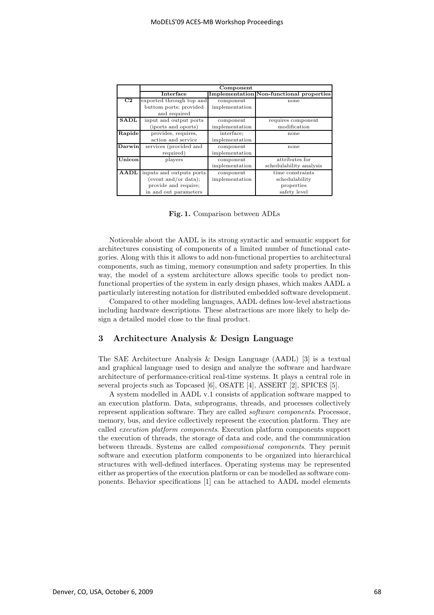|                | Component                |                |                                                 |  |  |
|----------------|--------------------------|----------------|-------------------------------------------------|--|--|
|                | Interface                |                | <b>Implementation Non-functional properties</b> |  |  |
| C <sub>2</sub> | exported through top and | component      | none                                            |  |  |
|                | buttom ports; provided   | implementation |                                                 |  |  |
|                | and required             |                |                                                 |  |  |
| <b>SADL</b>    | input and output ports   | component      | requires component                              |  |  |
|                | (iports and oports)      | implementation | modification                                    |  |  |
| Rapide         | provides, requires,      | interface;     | none                                            |  |  |
|                | action and service       | implementation |                                                 |  |  |
| Darwin         | services (provided and   | component      | none                                            |  |  |
|                | required)                | implementation |                                                 |  |  |
| Unicon         | players                  | component      | attributes for                                  |  |  |
|                |                          | implementation | schedulability analysis                         |  |  |
| AADL           | inputs and outputs ports | component      | time constraints                                |  |  |
|                | (event and/or data);     | implementation | schedulability                                  |  |  |
|                | provide and require;     |                | properties                                      |  |  |
|                | in and out parameters    |                | safety level                                    |  |  |

Fig. 1. Comparison between ADLs

Noticeable about the AADL is its strong syntactic and semantic support for architectures consisting of components of a limited number of functional categories. Along with this it allows to add non-functional properties to architectural components, such as timing, memory consumption and safety properties. In this way, the model of a system architecture allows specific tools to predict nonfunctional properties of the system in early design phases, which makes AADL a particularly interesting notation for distributed embedded software development.

Compared to other modeling languages, AADL defines low-level abstractions including hardware descriptions. These abstractions are more likely to help design a detailed model close to the final product.

## 3 Architecture Analysis & Design Language

The SAE Architecture Analysis & Design Language (AADL) [3] is a textual and graphical language used to design and analyze the software and hardware architecture of performance-critical real-time systems. It plays a central role in several projects such as Topcased [6], OSATE [4], ASSERT [2], SPICES [5].

A system modelled in AADL v.1 consists of application software mapped to an execution platform. Data, subprograms, threads, and processes collectively represent application software. They are called software components. Processor, memory, bus, and device collectively represent the execution platform. They are called execution platform components. Execution platform components support the execution of threads, the storage of data and code, and the communication between threads. Systems are called compositional components. They permit software and execution platform components to be organized into hierarchical structures with well-defined interfaces. Operating systems may be represented either as properties of the execution platform or can be modelled as software components. Behavior specifications [1] can be attached to AADL model elements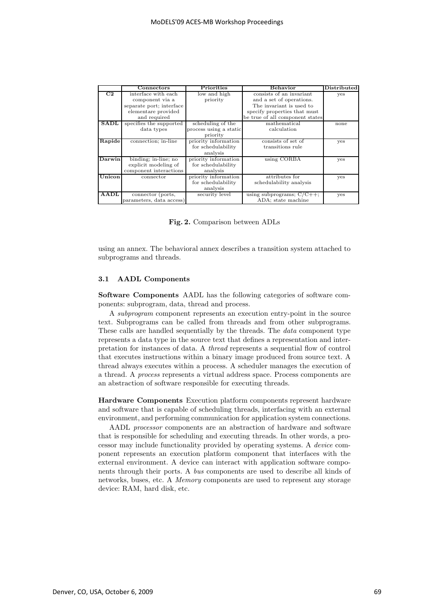|                        | Connectors               | Priorities             | Behavior                        | Distributed |
|------------------------|--------------------------|------------------------|---------------------------------|-------------|
| $\overline{\text{C2}}$ | interface with each      | low and high           | consists of an invariant        | yes         |
|                        | component via a          | priority               | and a set of operations.        |             |
|                        | separate port; interface |                        | The invariant is used to        |             |
|                        | elementare provided      |                        | specify properties that must    |             |
|                        | and required             |                        | be true of all component states |             |
| SADL                   | specifies the supported  | scheduling of the      | mathematical                    | none        |
|                        | data types               | process using a static | calculation                     |             |
|                        |                          | priority               |                                 |             |
| Rapide                 | connection; in-line      | priority information   | consists of set of              | yes         |
|                        |                          | for schedulability     | transitions rule                |             |
|                        |                          | analysis               |                                 |             |
| Darwin                 | binding; in-line; no     | priority information   | using CORBA                     | yes         |
|                        | explicit modeling of     | for schedulability     |                                 |             |
|                        | component interactions   | analysis               |                                 |             |
| <b>Unicon</b>          | connector                | priority information   | attributes for                  | yes         |
|                        |                          | for schedulability     | schedulability analysis         |             |
|                        |                          | analysis               |                                 |             |
| AADL                   | connector (ports,        | security level         | using subprograms; $C/C++$ ;    | yes         |
|                        | parameters, data access) |                        | ADA; state machine              |             |

Fig. 2. Comparison between ADLs

using an annex. The behavioral annex describes a transition system attached to subprograms and threads.

#### 3.1 AADL Components

Software Components AADL has the following categories of software components: subprogram, data, thread and process.

A subprogram component represents an execution entry-point in the source text. Subprograms can be called from threads and from other subprograms. These calls are handled sequentially by the threads. The data component type represents a data type in the source text that defines a representation and interpretation for instances of data. A thread represents a sequential flow of control that executes instructions within a binary image produced from source text. A thread always executes within a process. A scheduler manages the execution of a thread. A process represents a virtual address space. Process components are an abstraction of software responsible for executing threads.

Hardware Components Execution platform components represent hardware and software that is capable of scheduling threads, interfacing with an external environment, and performing communication for application system connections.

AADL processor components are an abstraction of hardware and software that is responsible for scheduling and executing threads. In other words, a processor may include functionality provided by operating systems. A device component represents an execution platform component that interfaces with the external environment. A device can interact with application software components through their ports. A bus components are used to describe all kinds of networks, buses, etc. A Memory components are used to represent any storage device: RAM, hard disk, etc.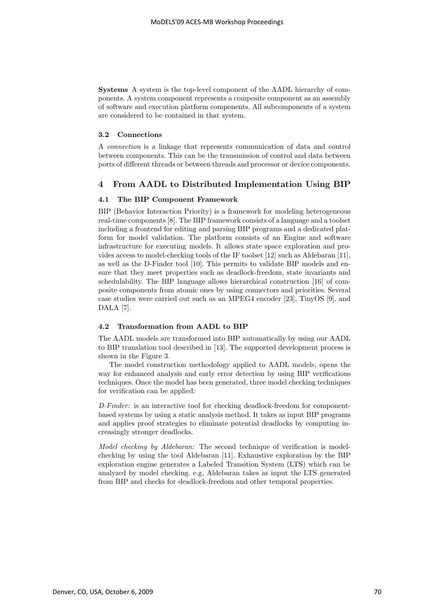Systems A system is the top-level component of the AADL hierarchy of components. A system component represents a composite component as an assembly of software and execution platform components. All subcomponents of a system are considered to be contained in that system.

#### 3.2 Connections

A connection is a linkage that represents communication of data and control between components. This can be the transmission of control and data between ports of different threads or between threads and processor or device components.

## 4 From AADL to Distributed Implementation Using BIP

#### 4.1 The BIP Component Framework

BIP (Behavior Interaction Priority) is a framework for modeling heterogeneous real-time components [8]. The BIP framework consists of a language and a toolset including a frontend for editing and parsing BIP programs and a dedicated platform for model validation. The platform consists of an Engine and software infrastructure for executing models. It allows state space exploration and provides access to model-checking tools of the IF toolset [12] such as Aldebaran [11], as well as the D-Finder tool [10]. This permits to validate BIP models and ensure that they meet properties such as deadlock-freedom, state invariants and schedulability. The BIP language allows hierarchical construction [16] of composite components from atomic ones by using connectors and priorities. Several case studies were carried out such as an MPEG4 encoder [23], TinyOS [9], and DALA [7].

#### 4.2 Transformation from AADL to BIP

The AADL models are transformed into BIP automatically by using our AADL to BIP translation tool described in [13]. The supported development process is shown in the Figure 3.

The model construction methodology applied to AADL models, opens the way for enhanced analysis and early error detection by using BIP verifications techniques. Once the model has been generated, three model checking techniques for verification can be applied:

D-Finder: is an interactive tool for checking deadlock-freedom for componentbased systems by using a static analysis method. It takes as input BIP programs and applies proof strategies to eliminate potential deadlocks by computing increasingly stronger deadlocks.

Model checking by Aldebaran: The second technique of verification is modelchecking by using the tool Aldebaran [11]. Exhaustive exploration by the BIP exploration engine generates a Labeled Transition System (LTS) which can be analyzed by model checking. e.g, Aldebaran takes as input the LTS generated from BIP and checks for deadlock-freedom and other temporal properties.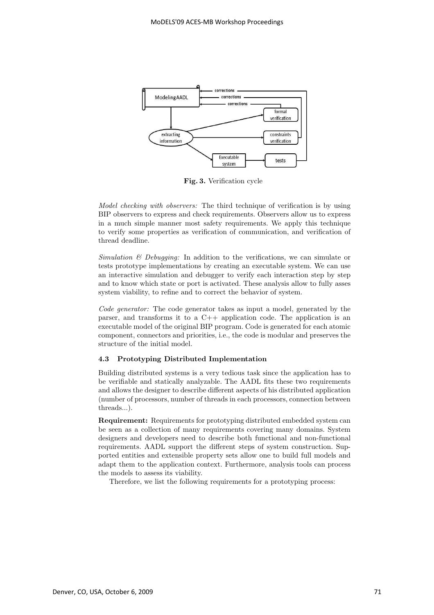

Fig. 3. Verification cycle

Model checking with observers: The third technique of verification is by using BIP observers to express and check requirements. Observers allow us to express in a much simple manner most safety requirements. We apply this technique to verify some properties as verification of communication, and verification of thread deadline.

Simulation  $\mathcal B$  Debugging: In addition to the verifications, we can simulate or tests prototype implementations by creating an executable system. We can use an interactive simulation and debugger to verify each interaction step by step and to know which state or port is activated. These analysis allow to fully asses system viability, to refine and to correct the behavior of system.

Code generator: The code generator takes as input a model, generated by the parser, and transforms it to a C++ application code. The application is an executable model of the original BIP program. Code is generated for each atomic component, connectors and priorities, i.e., the code is modular and preserves the structure of the initial model.

#### 4.3 Prototyping Distributed Implementation

Building distributed systems is a very tedious task since the application has to be verifiable and statically analyzable. The AADL fits these two requirements and allows the designer to describe different aspects of his distributed application (number of processors, number of threads in each processors, connection between threads...).

Requirement: Requirements for prototyping distributed embedded system can be seen as a collection of many requirements covering many domains. System designers and developers need to describe both functional and non-functional requirements. AADL support the different steps of system construction. Supported entities and extensible property sets allow one to build full models and adapt them to the application context. Furthermore, analysis tools can process the models to assess its viability.

Therefore, we list the following requirements for a prototyping process: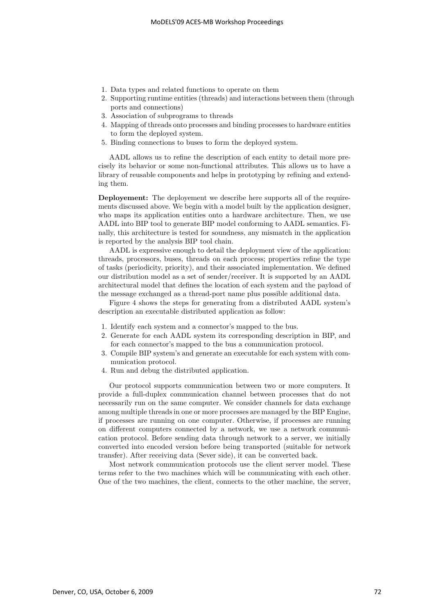- 1. Data types and related functions to operate on them
- 2. Supporting runtime entities (threads) and interactions between them (through ports and connections)
- 3. Association of subprograms to threads
- 4. Mapping of threads onto processes and binding processes to hardware entities to form the deployed system.
- 5. Binding connections to buses to form the deployed system.

AADL allows us to refine the description of each entity to detail more precisely its behavior or some non-functional attributes. This allows us to have a library of reusable components and helps in prototyping by refining and extending them.

Deployement: The deployement we describe here supports all of the requirements discussed above. We begin with a model built by the application designer, who maps its application entities onto a hardware architecture. Then, we use AADL into BIP tool to generate BIP model conforming to AADL semantics. Finally, this architecture is tested for soundness, any mismatch in the application is reported by the analysis BIP tool chain.

AADL is expressive enough to detail the deployment view of the application: threads, processors, buses, threads on each process; properties refine the type of tasks (periodicity, priority), and their associated implementation. We defined our distribution model as a set of sender/receiver. It is supported by an AADL architectural model that defines the location of each system and the payload of the message exchanged as a thread-port name plus possible additional data.

Figure 4 shows the steps for generating from a distributed AADL system's description an executable distributed application as follow:

- 1. Identify each system and a connector's mapped to the bus.
- 2. Generate for each AADL system its corresponding description in BIP, and for each connector's mapped to the bus a communication protocol.
- 3. Compile BIP system's and generate an executable for each system with communication protocol.
- 4. Run and debug the distributed application.

Our protocol supports communication between two or more computers. It provide a full-duplex communication channel between processes that do not necessarily run on the same computer. We consider channels for data exchange among multiple threads in one or more processes are managed by the BIP Engine, if processes are running on one computer. Otherwise, if processes are running on different computers connected by a network, we use a network communication protocol. Before sending data through network to a server, we initially converted into encoded version before being transported (suitable for network transfer). After receiving data (Sever side), it can be converted back.

Most network communication protocols use the client server model. These terms refer to the two machines which will be communicating with each other. One of the two machines, the client, connects to the other machine, the server,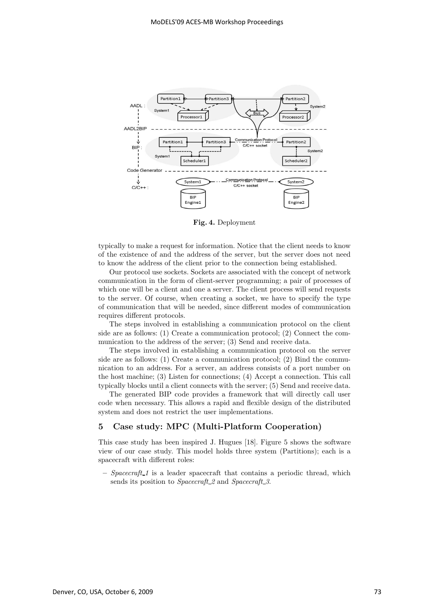

Fig. 4. Deployment

typically to make a request for information. Notice that the client needs to know of the existence of and the address of the server, but the server does not need to know the address of the client prior to the connection being established.

Our protocol use sockets. Sockets are associated with the concept of network communication in the form of client-server programming; a pair of processes of which one will be a client and one a server. The client process will send requests to the server. Of course, when creating a socket, we have to specify the type of communication that will be needed, since different modes of communication requires different protocols.

The steps involved in establishing a communication protocol on the client side are as follows: (1) Create a communication protocol; (2) Connect the communication to the address of the server; (3) Send and receive data.

The steps involved in establishing a communication protocol on the server side are as follows: (1) Create a communication protocol; (2) Bind the communication to an address. For a server, an address consists of a port number on the host machine; (3) Listen for connections; (4) Accept a connection. This call typically blocks until a client connects with the server; (5) Send and receive data.

The generated BIP code provides a framework that will directly call user code when necessary. This allows a rapid and flexible design of the distributed system and does not restrict the user implementations.

## 5 Case study: MPC (Multi-Platform Cooperation)

This case study has been inspired J. Hugues [18]. Figure 5 shows the software view of our case study. This model holds three system (Partitions); each is a spacecraft with different roles:

 $-$  Spacecraft 1 is a leader spacecraft that contains a periodic thread, which sends its position to *Spacecraft* 2 and *Spacecraft* 3.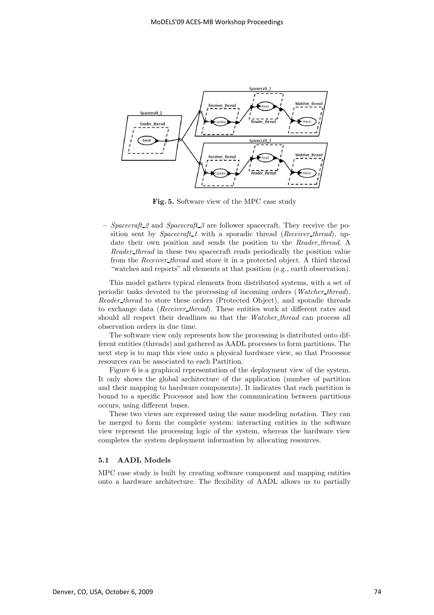

Fig. 5. Software view of the MPC case study

– Spacecraft 2 and Spacecraft 3 are follower spacecraft. They receive the position sent by Spacecraft 1 with a sporadic thread (Receiver thread), update their own position and sends the position to the Reader thread. A Reader thread in these two spacecraft reads periodically the position value from the Receiver thread and store it in a protected object. A third thread "watches and reports" all elements at that position (e.g., earth observation).

This model gathers typical elements from distributed systems, with a set of periodic tasks devoted to the processing of incoming orders (Watcher\_thread), Reader thread to store these orders (Protected Object), and sporadic threads to exchange data (Receiver thread). These entities work at different rates and should all respect their deadlines so that the *Watcher thread* can process all observation orders in due time.

The software view only represents how the processing is distributed onto different entities (threads) and gathered as AADL processes to form partitions. The next step is to map this view onto a physical hardware view, so that Processor resources can be associated to each Partition.

Figure 6 is a graphical representation of the deployment view of the system. It only shows the global architecture of the application (number of partition and their mapping to hardware components). It indicates that each partition is bound to a specific Processor and how the communication between partitions occurs, using different buses.

These two views are expressed using the same modeling notation. They can be merged to form the complete system: interacting entities in the software view represent the processing logic of the system, whereas the hardware view completes the system deployment information by allocating resources.

#### 5.1 AADL Models

MPC case study is built by creating software component and mapping entities onto a hardware architecture. The flexibility of AADL allows us to partially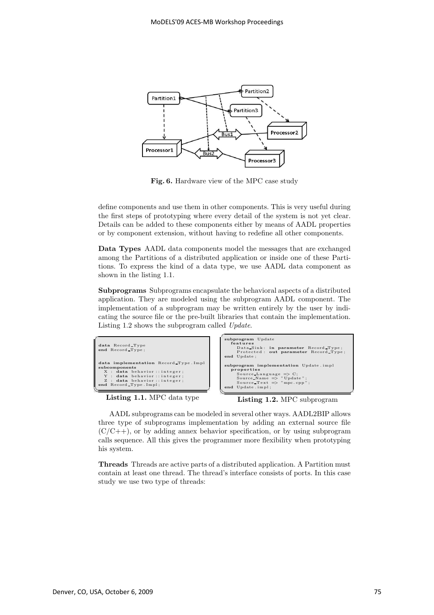

Fig. 6. Hardware view of the MPC case study

define components and use them in other components. This is very useful during the first steps of prototyping where every detail of the system is not yet clear. Details can be added to these components either by means of AADL properties or by component extension, without having to redefine all other components.

Data Types AADL data components model the messages that are exchanged among the Partitions of a distributed application or inside one of these Partitions. To express the kind of a data type, we use AADL data component as shown in the listing 1.1.

Subprograms Subprograms encapsulate the behavioral aspects of a distributed application. They are modeled using the subprogram AADL component. The implementation of a subprogram may be written entirely by the user by indicating the source file or the pre-built libraries that contain the implementation. Listing 1.2 shows the subprogram called Update.



Listing 1.1. MPC data type

Listing 1.2. MPC subprogram

AADL subprograms can be modeled in several other ways. AADL2BIP allows three type of subprograms implementation by adding an external source file  $(C/C++)$ , or by adding annex behavior specification, or by using subprogram calls sequence. All this gives the programmer more flexibility when prototyping his system.

Threads Threads are active parts of a distributed application. A Partition must contain at least one thread. The thread's interface consists of ports. In this case study we use two type of threads: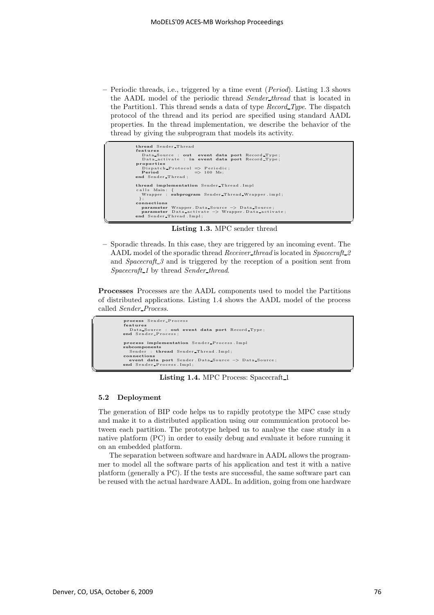– Periodic threads, i.e., triggered by a time event (Period). Listing 1.3 shows the AADL model of the periodic thread Sender thread that is located in the Partition1. This thread sends a data of type  $Record\_Type$ . The dispatch protocol of the thread and its period are specified using standard AADL properties. In the thread implementation, we describe the behavior of the thread by giving the subprogram that models its activity.

```
thread Sender Thread
                     features<br>
Data-Source : out event data port Record-Type;<br>
Data-activate : in event data port Record-Type;<br>
properties<br>
Period => Periodic;<br>
Period => 100 Ms;<br>
Period => 100 Ms;<br>
end Sender-Thread;
                     thread implementation Sender Thread . Impl
                      calls Main: {<br>Wrapper : subprogram Sender_Thread_Wrapper.impl;
};<br>
connections<br>
parameter Wrapper Data Source −> Data Source;<br>
parameter Data activate −> Wrapper Data activate;<br>
end Sender Thread . Impl;
```
Listing 1.3. MPC sender thread

– Sporadic threads. In this case, they are triggered by an incoming event. The AADL model of the sporadic thread Receiver thread is located in Spacecraft 2 and *Spacecraft* 3 and is triggered by the reception of a position sent from Spacecraft<sub>-1</sub> by thread Sender-thread.

Processes Processes are the AADL components used to model the Partitions of distributed applications. Listing 1.4 shows the AADL model of the process called Sender Process.



Listing 1.4. MPC Process: Spacecraft 1

#### 5.2 Deployment

 $\overline{a}$ 

The generation of BIP code helps us to rapidly prototype the MPC case study and make it to a distributed application using our communication protocol between each partition. The prototype helped us to analyse the case study in a native platform (PC) in order to easily debug and evaluate it before running it on an embedded platform.

The separation between software and hardware in AADL allows the programmer to model all the software parts of his application and test it with a native platform (generally a PC). If the tests are successful, the same software part can be reused with the actual hardware AADL. In addition, going from one hardware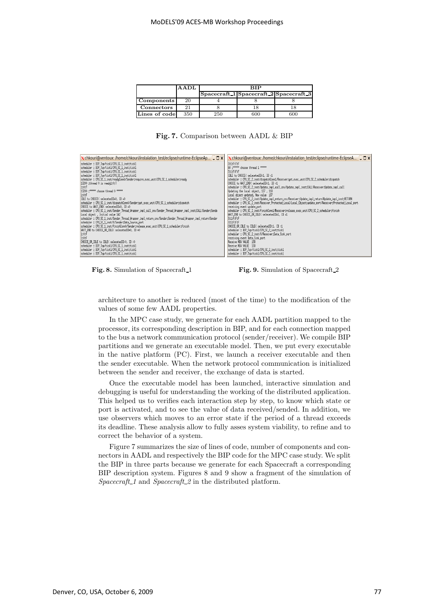|                   | AADL | ≺IP |                                        |  |
|-------------------|------|-----|----------------------------------------|--|
|                   |      |     | Spacecraft 1 Spacecraft 2 Spacecraft 3 |  |
| Components        | 20   |     |                                        |  |
| $\rm{Connectors}$ |      |     |                                        |  |
| Lines of code     | 350  | 250 |                                        |  |

Fig. 7. Comparison between AADL & BIP

| $\chi$ chkouri@ventoux: /home/chkouri/instalation test/eclipse/runtime-EclipseAp $\Box$ $\chi$                  | X chkouri@ventoux: /home/chkouri/instalation_test/eclipse/runtime-EclipseA ■ □ X                          |
|-----------------------------------------------------------------------------------------------------------------|-----------------------------------------------------------------------------------------------------------|
| scheduler : BIP_Top/tick1/CPU_SC_1_inst;tick1                                                                   | $3:1:$ F:T:F                                                                                              |
| scheduler : BIP_Top/tick1/CPU_SC_1_inst;tick1                                                                   | 80 :***** choose thread 1 *****                                                                           |
| scheduler : BIP_Top/tick1/CPU_SC_1_inst;tick1                                                                   | 3:1:FF:F                                                                                                  |
| scheduler : BIP_Top/tick1/CPU_SC_1_inst:tick1                                                                   | IDLE to CHOICE< selecetedID=1, ID =1                                                                      |
| scheduler : CPU_SC_1_inst/readyConn0/Sender;require_exec_unit CPU_SC_1_scheduler;ready                          | scheduler : CPU_SC_2_inst/dispatchConn1/Receivertget_exec_unitICPU_SC_2_schedulertdispatch                |
| 13200 :thread 0 is readu1:0:T                                                                                   | CHOICE to WAIT END< selecetedID=1, ID =1                                                                  |
| 1:0:7<br>13200 :***** choose thread 0 *****                                                                     | scheduler : CPU_SC_2_inst/Update_inpl_call_cnx/Update_inpl_inst:CALL Receiver:Update_inpl_call            |
| $1:0:$ F                                                                                                        | Updating the local object, 137, 118<br>Local object updated, New value 137                                |
| IDLE to CHOICE< selecetedID=0, ID =0                                                                            | scheduler : CPU_SC_2_inst/Update_inpl_return_cnx/Receiver:Update_inpl_return Update_inpl_inst:RETURN      |
| scheduler : CPU_SC_1_inst/dispatchConn0/Sendertget_exec_unit1CPU_SC_1_schedulertdispatch                        | scheduler : CPU_SC_2_inst/Receiver_Protected_Local/Local_Object;update_portlReceiver;Protected_Local_port |
| CHOICE to WAIT_END< selecetedID=0, ID =0                                                                        | receiving event update_port                                                                               |
| scheduler : CPU_SC_1_inst/Sender_Thread_Wrapper_impl_call_cnx/Sender_Thread_Wrapper_impl_inst:CALLISender:Sende | scheduler : CPU_SC_2_inst/finishConn1/Receiver;release_exec_unit CPU_SC_2_scheduler;finish                |
| Local object, Initial value 142                                                                                 | WAIT_END to CHOICE_OR_IDLE< selecetedID=1, ID =1                                                          |
| scheduler : CPU_SC_1_inst/Sender_Thread_Wrapper_impl_return_cnx/Sender:Sender_Thread_Wrapper_impl_return1Sender | 3:1;F;F;F                                                                                                 |
| scheduler : CPU SC 1 inst/X/Sender:Data Source port                                                             | 3:1:F:F:F                                                                                                 |
| scheduler : CPU_SC_1_inst/finishCornO/Sender;release_exec_unitICPU_SC_1_scheduler;finish                        | CHOICE OR IDLE to IDLE< selecetedID=1, ID =1                                                              |
| WAIT_END to CHOICE_OR_IDLE< selecetedID=0, ID =0                                                                | scheduler : BIP_Top/tick1/CPU_SC_2_inst:tick1                                                             |
| $1:0:$ F                                                                                                        | scheduler : CPU SC 2 inst/X/Receiver:Data Sink port                                                       |
| $1:0:$ F                                                                                                        | receiving event Data Sink port                                                                            |
| CHOICE_OR_IDLE to IDLE< selecetedID=0, ID =0                                                                    | Receive NEW VALUE 138                                                                                     |
| scheduler : BIP_Top/tick1/CPU_SC_1_inst;tick1                                                                   | Receive NEW VALUE 138                                                                                     |
| scheduler : BIP_Top/tick1/CPU SC 1 institick1                                                                   | scheduler : BIP_Top/tick1/CPU_SC_2_inst;tick1                                                             |
| scheduler : BIP_Top/tick1/CPU_SC_1_inst;tick1                                                                   | scheduler : BIP_Top/tick1/CPU_SC_2_inst:tick1                                                             |

Fig. 8. Simulation of Spacecraft 1 Fig. 9. Simulation of Spacecraft 2

architecture to another is reduced (most of the time) to the modification of the values of some few AADL properties.

In the MPC case study, we generate for each AADL partition mapped to the processor, its corresponding description in BIP, and for each connection mapped to the bus a network communication protocol (sender/receiver). We compile BIP partitions and we generate an executable model. Then, we put every executable in the native platform (PC). First, we launch a receiver executable and then the sender executable. When the network protocol communication is initialized between the sender and receiver, the exchange of data is started.

Once the executable model has been launched, interactive simulation and debugging is useful for understanding the working of the distributed application. This helped us to verifies each interaction step by step, to know which state or port is activated, and to see the value of data received/sended. In addition, we use observers which moves to an error state if the period of a thread exceeds its deadline. These analysis allow to fully asses system viability, to refine and to correct the behavior of a system.

Figure 7 summarizes the size of lines of code, number of components and connectors in AADL and respectively the BIP code for the MPC case study. We split the BIP in three parts because we generate for each Spacecraft a corresponding BIP description system. Figures 8 and 9 show a fragment of the simulation of Spacecraft 1 and Spacecraft 2 in the distributed platform.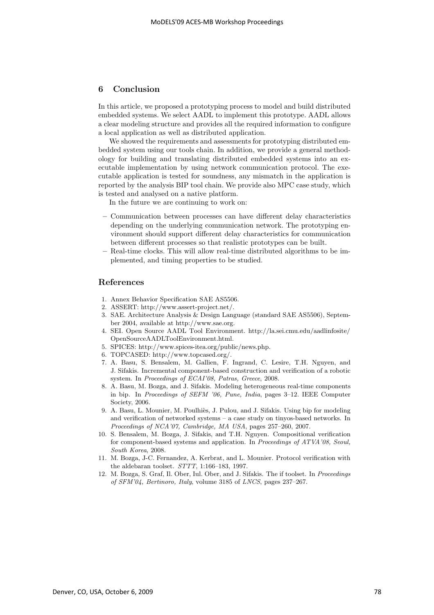## 6 Conclusion

In this article, we proposed a prototyping process to model and build distributed embedded systems. We select AADL to implement this prototype. AADL allows a clear modeling structure and provides all the required information to configure a local application as well as distributed application.

We showed the requirements and assessments for prototyping distributed embedded system using our tools chain. In addition, we provide a general methodology for building and translating distributed embedded systems into an executable implementation by using network communication protocol. The executable application is tested for soundness, any mismatch in the application is reported by the analysis BIP tool chain. We provide also MPC case study, which is tested and analysed on a native platform.

In the future we are continuing to work on:

- Communication between processes can have different delay characteristics depending on the underlying communication network. The prototyping environment should support different delay characteristics for communication between different processes so that realistic prototypes can be built.
- Real-time clocks. This will allow real-time distributed algorithms to be implemented, and timing properties to be studied.

### References

- 1. Annex Behavior Specification SAE AS5506.
- 2. ASSERT: http://www.assert-project.net/.
- 3. SAE. Architecture Analysis & Design Language (standard SAE AS5506), September 2004, available at http://www.sae.org.
- 4. SEI. Open Source AADL Tool Environment. http://la.sei.cmu.edu/aadlinfosite/ OpenSourceAADLToolEnvironment.html.
- 5. SPICES: http://www.spices-itea.org/public/news.php.
- 6. TOPCASED: http://www.topcased.org/.
- 7. A. Basu, S. Bensalem, M. Gallien, F. Ingrand, C. Lesire, T.H. Nguyen, and J. Sifakis. Incremental component-based construction and verification of a robotic system. In Proceedings of ECAI'08, Patras, Greece, 2008.
- 8. A. Basu, M. Bozga, and J. Sifakis. Modeling heterogeneous real-time components in bip. In Proceedings of SEFM '06, Pune, India, pages 3–12. IEEE Computer Society, 2006.
- 9. A. Basu, L. Mounier, M. Poulhiès, J. Pulou, and J. Sifakis. Using bip for modeling and verification of networked systems – a case study on tinyos-based networks. In Proceedings of NCA'07, Cambridge, MA USA, pages 257–260, 2007.
- 10. S. Bensalem, M. Bozga, J. Sifakis, and T.H. Nguyen. Compositional verification for component-based systems and application. In Proceedings of ATVA'08, Seoul, South Korea, 2008.
- 11. M. Bozga, J-C. Fernandez, A. Kerbrat, and L. Mounier. Protocol verification with the aldebaran toolset. STTT, 1:166–183, 1997.
- 12. M. Bozga, S. Graf, Il. Ober, Iul. Ober, and J. Sifakis. The if toolset. In Proceedings of SFM'04, Bertinoro, Italy, volume 3185 of LNCS, pages 237–267.